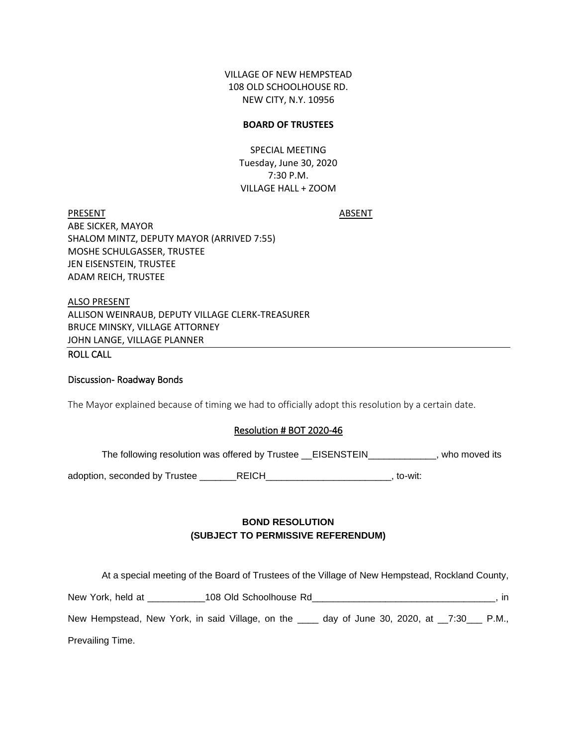VILLAGE OF NEW HEMPSTEAD 108 OLD SCHOOLHOUSE RD. NEW CITY, N.Y. 10956

### **BOARD OF TRUSTEES**

SPECIAL MEETING Tuesday, June 30, 2020 7:30 P.M. VILLAGE HALL + ZOOM

PRESENT ABSENT ABE SICKER, MAYOR SHALOM MINTZ, DEPUTY MAYOR (ARRIVED 7:55) MOSHE SCHULGASSER, TRUSTEE JEN EISENSTEIN, TRUSTEE ADAM REICH, TRUSTEE

ALSO PRESENT ALLISON WEINRAUB, DEPUTY VILLAGE CLERK-TREASURER BRUCE MINSKY, VILLAGE ATTORNEY JOHN LANGE, VILLAGE PLANNER

# ROLL CALL

### Discussion- Roadway Bonds

The Mayor explained because of timing we had to officially adopt this resolution by a certain date.

#### Resolution # BOT 2020-46

The following resolution was offered by Trustee \_\_EISENSTEIN\_\_\_\_\_\_\_\_\_\_\_, who moved its

adoption, seconded by Trustee \_\_\_\_\_\_\_REICH\_\_\_\_\_\_\_\_\_\_\_\_\_\_\_\_\_\_\_\_\_\_\_\_\_\_, to-wit:

# **BOND RESOLUTION (SUBJECT TO PERMISSIVE REFERENDUM)**

At a special meeting of the Board of Trustees of the Village of New Hempstead, Rockland County,

| New York, held at                                | 108 Old Schoolhouse Rd |                                   | $\mathsf{In}$ |
|--------------------------------------------------|------------------------|-----------------------------------|---------------|
| New Hempstead, New York, in said Village, on the |                        | day of June 30, 2020, at $\_7:30$ | P.M.,         |
| Prevailing Time.                                 |                        |                                   |               |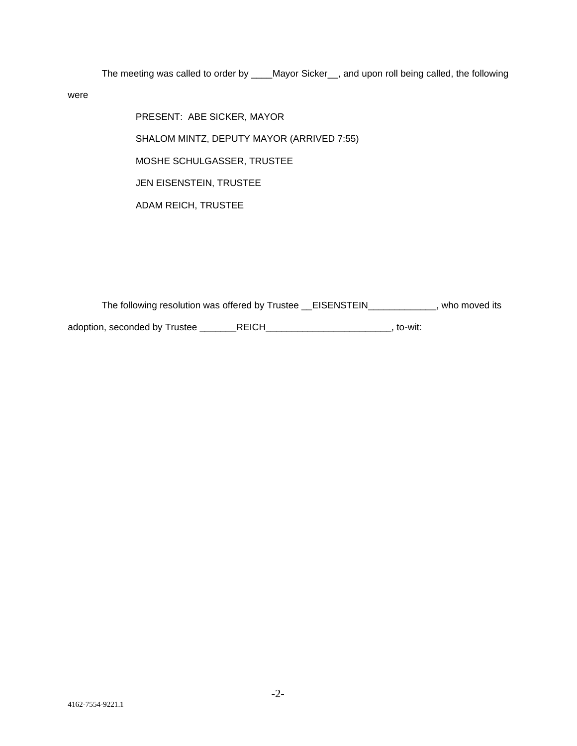The meeting was called to order by \_\_\_\_Mayor Sicker\_\_, and upon roll being called, the following

were

PRESENT: ABE SICKER, MAYOR SHALOM MINTZ, DEPUTY MAYOR (ARRIVED 7:55) MOSHE SCHULGASSER, TRUSTEE JEN EISENSTEIN, TRUSTEE ADAM REICH, TRUSTEE

The following resolution was offered by Trustee \_\_EISENSTEIN\_\_\_\_\_\_\_\_\_\_\_\_\_, who moved its adoption, seconded by Trustee \_\_\_\_\_\_\_REICH\_\_\_\_\_\_\_\_\_\_\_\_\_\_\_\_\_\_\_\_\_\_\_\_\_\_\_, to-wit: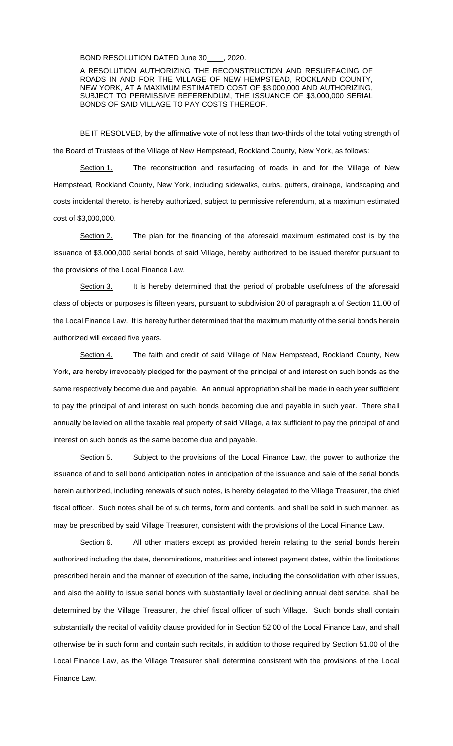BOND RESOLUTION DATED June 30 . 2020.

A RESOLUTION AUTHORIZING THE RECONSTRUCTION AND RESURFACING OF ROADS IN AND FOR THE VILLAGE OF NEW HEMPSTEAD, ROCKLAND COUNTY, NEW YORK, AT A MAXIMUM ESTIMATED COST OF \$3,000,000 AND AUTHORIZING, SUBJECT TO PERMISSIVE REFERENDUM, THE ISSUANCE OF \$3,000,000 SERIAL BONDS OF SAID VILLAGE TO PAY COSTS THEREOF.

BE IT RESOLVED, by the affirmative vote of not less than two-thirds of the total voting strength of the Board of Trustees of the Village of New Hempstead, Rockland County, New York, as follows:

Section 1. The reconstruction and resurfacing of roads in and for the Village of New Hempstead, Rockland County, New York, including sidewalks, curbs, gutters, drainage, landscaping and costs incidental thereto, is hereby authorized, subject to permissive referendum, at a maximum estimated cost of \$3,000,000.

Section 2. The plan for the financing of the aforesaid maximum estimated cost is by the issuance of \$3,000,000 serial bonds of said Village, hereby authorized to be issued therefor pursuant to the provisions of the Local Finance Law.

Section 3. It is hereby determined that the period of probable usefulness of the aforesaid class of objects or purposes is fifteen years, pursuant to subdivision 20 of paragraph a of Section 11.00 of the Local Finance Law. It is hereby further determined that the maximum maturity of the serial bonds herein authorized will exceed five years.

Section 4. The faith and credit of said Village of New Hempstead, Rockland County, New York, are hereby irrevocably pledged for the payment of the principal of and interest on such bonds as the same respectively become due and payable. An annual appropriation shall be made in each year sufficient to pay the principal of and interest on such bonds becoming due and payable in such year. There shall annually be levied on all the taxable real property of said Village, a tax sufficient to pay the principal of and interest on such bonds as the same become due and payable.

Section 5. Subject to the provisions of the Local Finance Law, the power to authorize the issuance of and to sell bond anticipation notes in anticipation of the issuance and sale of the serial bonds herein authorized, including renewals of such notes, is hereby delegated to the Village Treasurer, the chief fiscal officer. Such notes shall be of such terms, form and contents, and shall be sold in such manner, as may be prescribed by said Village Treasurer, consistent with the provisions of the Local Finance Law.

Section 6. All other matters except as provided herein relating to the serial bonds herein authorized including the date, denominations, maturities and interest payment dates, within the limitations prescribed herein and the manner of execution of the same, including the consolidation with other issues, and also the ability to issue serial bonds with substantially level or declining annual debt service, shall be determined by the Village Treasurer, the chief fiscal officer of such Village. Such bonds shall contain substantially the recital of validity clause provided for in Section 52.00 of the Local Finance Law, and shall otherwise be in such form and contain such recitals, in addition to those required by Section 51.00 of the Local Finance Law, as the Village Treasurer shall determine consistent with the provisions of the Local Finance Law.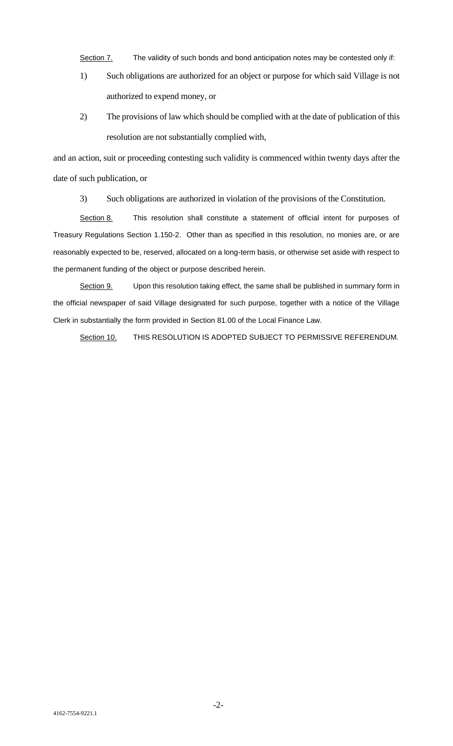Section 7. The validity of such bonds and bond anticipation notes may be contested only if:

- 1) Such obligations are authorized for an object or purpose for which said Village is not authorized to expend money, or
- 2) The provisions of law which should be complied with at the date of publication of this resolution are not substantially complied with,

and an action, suit or proceeding contesting such validity is commenced within twenty days after the date of such publication, or

3) Such obligations are authorized in violation of the provisions of the Constitution.

Section 8. This resolution shall constitute a statement of official intent for purposes of Treasury Regulations Section 1.150-2. Other than as specified in this resolution, no monies are, or are reasonably expected to be, reserved, allocated on a long-term basis, or otherwise set aside with respect to the permanent funding of the object or purpose described herein.

Section 9. Upon this resolution taking effect, the same shall be published in summary form in the official newspaper of said Village designated for such purpose, together with a notice of the Village Clerk in substantially the form provided in Section 81.00 of the Local Finance Law.

Section 10. THIS RESOLUTION IS ADOPTED SUBJECT TO PERMISSIVE REFERENDUM.